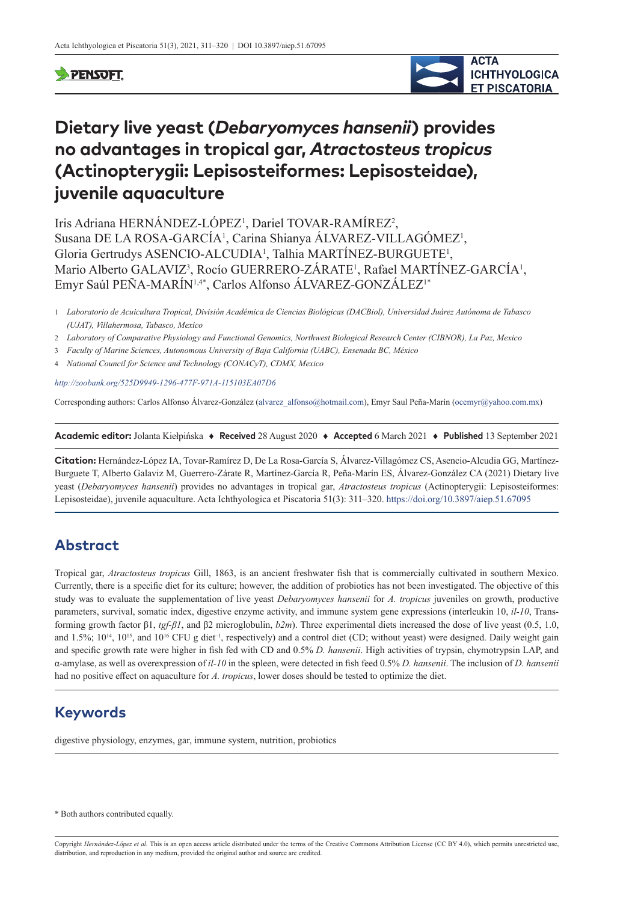### **PENSOFT**



# **Dietary live yeast (***Debaryomyces hansenii***) provides no advantages in tropical gar,** *Atractosteus tropicus* **(Actinopterygii: Lepisosteiformes: Lepisosteidae), juvenile aquaculture**

Iris Adriana HERNÁNDEZ-LÓPEZ<sup>1</sup>, Dariel TOVAR-RAMÍREZ<sup>2</sup>, Susana DE LA ROSA-GARCÍA<sup>1</sup>, Carina Shianya ÁLVAREZ-VILLAGÓMEZ<sup>1</sup>, Gloria Gertrudys ASENCIO-ALCUDIA<sup>1</sup>, Talhia MARTÍNEZ-BURGUETE<sup>1</sup>, Mario Alberto GALAVIZ<sup>3</sup>, Rocío GUERRERO-ZÁRATE<sup>1</sup>, Rafael MARTÍNEZ-GARCÍA<sup>1</sup>, Emyr Saúl PEÑA-MARÍN<sup>1,4\*</sup>, Carlos Alfonso ÁLVAREZ-GONZÁLEZ<sup>1\*</sup>

1 *Laboratorio de Acuicultura Tropical, División Académica de Ciencias Biológicas (DACBiol), Universidad Juárez Autónoma de Tabasco (UJAT), Villahermosa, Tabasco, Mexico*

- 2 *Laboratory of Comparative Physiology and Functional Genomics, Northwest Biological Research Center (CIBNOR), La Paz, Mexico*
- 3 *Faculty of Marine Sciences, Autonomous University of Baja California (UABC), Ensenada BC, México*
- 4 *National Council for Science and Technology (CONACyT), CDMX, Mexico*

*<http://zoobank.org/525D9949-1296-477F-971A-115103EA07D6>*

Corresponding authors: Carlos Alfonso Álvarez-González [\(alvarez\\_alfonso@hotmail.com\)](mailto:alvarez_alfonso@hotmail.com), Emyr Saul Peña-Marín ([ocemyr@yahoo.com.mx\)](mailto:ocemyr@yahoo.com.mx)

**Academic editor:** Jolanta Kiełpińska ♦ **Received** 28 August 2020 ♦ **Accepted** 6 March 2021 ♦ **Published** 13 September 2021

**Citation:** Hernández-López IA, Tovar-Ramírez D, De La Rosa-García S, Álvarez-Villagómez CS, Asencio-Alcudia GG, Martínez-Burguete T, Alberto Galaviz M, Guerrero-Zárate R, Martínez-García R, Peña-Marín ES, Álvarez-González CA (2021) Dietary live yeast (*Debaryomyces hansenii*) provides no advantages in tropical gar, *Atractosteus tropicus* (Actinopterygii: Lepisosteiformes: Lepisosteidae), juvenile aquaculture. Acta Ichthyologica et Piscatoria 51(3): 311–320. <https://doi.org/10.3897/aiep.51.67095>

# **Abstract**

Tropical gar, *Atractosteus tropicus* Gill, 1863, is an ancient freshwater fish that is commercially cultivated in southern Mexico. Currently, there is a specific diet for its culture; however, the addition of probiotics has not been investigated. The objective of this study was to evaluate the supplementation of live yeast *Debaryomyces hansenii* for *A. tropicus* juveniles on growth, productive parameters, survival, somatic index, digestive enzyme activity, and immune system gene expressions (interleukin 10, *il-10*, Transforming growth factor β1, *tgf-β1*, and β2 microglobulin, *b2m*). Three experimental diets increased the dose of live yeast (0.5, 1.0, and 1.5%;  $10^{14}$ ,  $10^{15}$ , and  $10^{16}$  CFU g diet<sup>-1</sup>, respectively) and a control diet (CD; without yeast) were designed. Daily weight gain and specific growth rate were higher in fish fed with CD and 0.5% *D. hansenii*. High activities of trypsin, chymotrypsin LAP, and α-amylase, as well as overexpression of *il-10* in the spleen, were detected in fish feed 0.5% *D. hansenii*. The inclusion of *D. hansenii* had no positive effect on aquaculture for *A. tropicus*, lower doses should be tested to optimize the diet.

# **Keywords**

digestive physiology, enzymes, gar, immune system, nutrition, probiotics

\* Both authors contributed equally.

Copyright *Hernández-López et al.* This is an open access article distributed under the terms of the [Creative Commons Attribution License \(CC BY 4.0\)](http://creativecommons.org/licenses/by/4.0/), which permits unrestricted use, distribution, and reproduction in any medium, provided the original author and source are credited.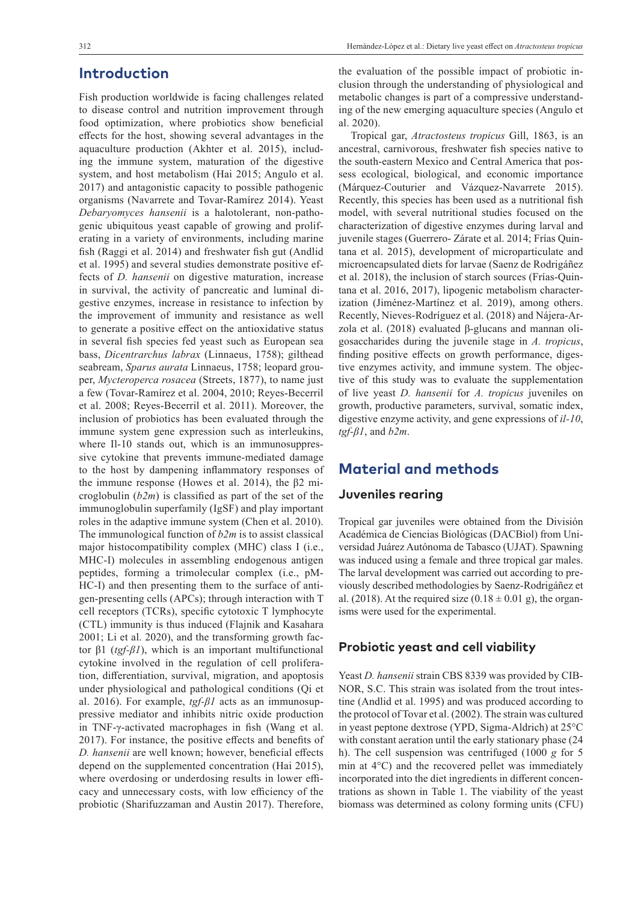### **Introduction**

Fish production worldwide is facing challenges related to disease control and nutrition improvement through food optimization, where probiotics show beneficial effects for the host, showing several advantages in the aquaculture production (Akhter et al. 2015), including the immune system, maturation of the digestive system, and host metabolism (Hai 2015; Angulo et al. 2017) and antagonistic capacity to possible pathogenic organisms (Navarrete and Tovar-Ramírez 2014). Yeast *Debaryomyces hansenii* is a halotolerant, non-pathogenic ubiquitous yeast capable of growing and proliferating in a variety of environments, including marine fish (Raggi et al. 2014) and freshwater fish gut (Andlid et al. 1995) and several studies demonstrate positive effects of *D. hansenii* on digestive maturation, increase in survival, the activity of pancreatic and luminal digestive enzymes, increase in resistance to infection by the improvement of immunity and resistance as well to generate a positive effect on the antioxidative status in several fish species fed yeast such as European sea bass, *Dicentrarchus labrax* (Linnaeus, 1758); gilthead seabream, *Sparus aurata* Linnaeus, 1758; leopard grouper, *Mycteroperca rosacea* (Streets, 1877), to name just a few (Tovar-Ramírez et al. 2004, 2010; Reyes-Becerril et al. 2008; Reyes-Becerril et al. 2011). Moreover, the inclusion of probiotics has been evaluated through the immune system gene expression such as interleukins, where Il-10 stands out, which is an immunosuppressive cytokine that prevents immune-mediated damage to the host by dampening inflammatory responses of the immune response (Howes et al. 2014), the β2 microglobulin (*b2m*) is classified as part of the set of the immunoglobulin superfamily (IgSF) and play important roles in the adaptive immune system (Chen et al. 2010). The immunological function of *b2m* is to assist classical major histocompatibility complex (MHC) class I (i.e., MHC-I) molecules in assembling endogenous antigen peptides, forming a trimolecular complex (i.e., pM-HC-I) and then presenting them to the surface of antigen-presenting cells (APCs); through interaction with T cell receptors (TCRs), specific cytotoxic T lymphocyte (CTL) immunity is thus induced (Flajnik and Kasahara 2001; Li et al. 2020), and the transforming growth factor β1 (*tgf-β1*), which is an important multifunctional cytokine involved in the regulation of cell proliferation, differentiation, survival, migration, and apoptosis under physiological and pathological conditions (Qi et al. 2016). For example, *tgf-β1* acts as an immunosuppressive mediator and inhibits nitric oxide production in TNF-γ-activated macrophages in fish (Wang et al. 2017). For instance, the positive effects and benefits of *D. hansenii* are well known; however, beneficial effects depend on the supplemented concentration (Hai 2015), where overdosing or underdosing results in lower efficacy and unnecessary costs, with low efficiency of the probiotic (Sharifuzzaman and Austin 2017). Therefore,

the evaluation of the possible impact of probiotic inclusion through the understanding of physiological and metabolic changes is part of a compressive understanding of the new emerging aquaculture species (Angulo et al. 2020).

Tropical gar, *Atractosteus tropicus* Gill, 1863, is an ancestral, carnivorous, freshwater fish species native to the south-eastern Mexico and Central America that possess ecological, biological, and economic importance (Márquez-Couturier and Vázquez-Navarrete 2015). Recently, this species has been used as a nutritional fish model, with several nutritional studies focused on the characterization of digestive enzymes during larval and juvenile stages (Guerrero- Zárate et al. 2014; Frías Quintana et al. 2015), development of microparticulate and microencapsulated diets for larvae (Saenz de Rodrigáñez et al. 2018), the inclusion of starch sources (Frías-Quintana et al. 2016, 2017), lipogenic metabolism characterization (Jiménez-Martínez et al. 2019), among others. Recently, Nieves-Rodríguez et al. (2018) and Nájera-Arzola et al. (2018) evaluated β-glucans and mannan oligosaccharides during the juvenile stage in *A. tropicus*, finding positive effects on growth performance, digestive enzymes activity, and immune system. The objective of this study was to evaluate the supplementation of live yeast *D. hansenii* for *A. tropicus* juveniles on growth, productive parameters, survival, somatic index, digestive enzyme activity, and gene expressions of *il-10*, *tgf-β1*, and *b2m*.

# **Material and methods**

#### **Juveniles rearing**

Tropical gar juveniles were obtained from the División Académica de Ciencias Biológicas (DACBiol) from Universidad Juárez Autónoma de Tabasco (UJAT). Spawning was induced using a female and three tropical gar males. The larval development was carried out according to previously described methodologies by Saenz-Rodrigáñez et al. (2018). At the required size (0.18  $\pm$  0.01 g), the organisms were used for the experimental.

#### **Probiotic yeast and cell viability**

Yeast *D. hansenii* strain CBS 8339 was provided by CIB-NOR, S.C. This strain was isolated from the trout intestine (Andlid et al. 1995) and was produced according to the protocol of Tovar et al. (2002). The strain was cultured in yeast peptone dextrose (YPD, Sigma-Aldrich) at 25°C with constant aeration until the early stationary phase (24 h). The cell suspension was centrifuged (1000 *g* for 5 min at 4°C) and the recovered pellet was immediately incorporated into the diet ingredients in different concentrations as shown in Table 1. The viability of the yeast biomass was determined as colony forming units (CFU)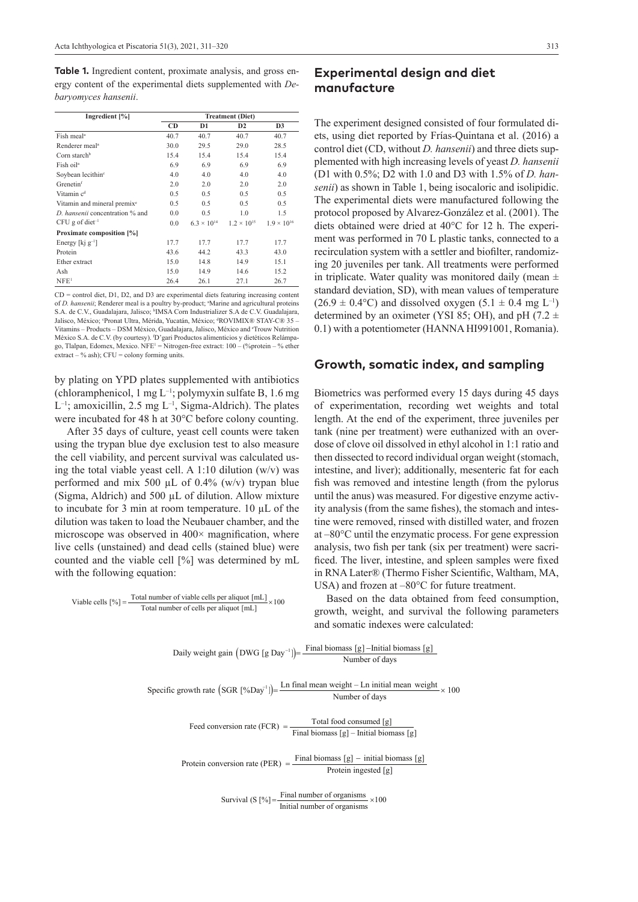**Table 1.** Ingredient content, proximate analysis, and gross energy content of the experimental diets supplemented with *Debaryomyces hansenii*.

| Ingredient [%]                          | <b>Treatment (Diet)</b> |                      |                      |                      |
|-----------------------------------------|-------------------------|----------------------|----------------------|----------------------|
|                                         | <b>CD</b>               | D1                   | D2                   | D <sub>3</sub>       |
| Fish meal <sup>a</sup>                  | 40.7                    | 40.7                 | 40.7                 | 40.7                 |
| Renderer meal <sup>a</sup>              | 30.0                    | 29.5                 | 29.0                 | 28.5                 |
| Corn starch <sup>b</sup>                | 15.4                    | 15.4                 | 15.4                 | 15.4                 |
| Fish oil <sup>a</sup>                   | 6.9                     | 6.9                  | 6.9                  | 6.9                  |
| Soybean lecithin <sup>e</sup>           | 4.0                     | 4.0                  | 4.0                  | 4.0                  |
| Grenetin <sup>f</sup>                   | 2.0                     | 2.0                  | 2.0                  | 2.0                  |
| Vitamin c <sup>d</sup>                  | 0.5                     | 0.5                  | 0.5                  | 0.5                  |
| Vitamin and mineral premix <sup>e</sup> | 0.5                     | 0.5                  | 0.5                  | 0.5                  |
| D. hansenii concentration % and         | 0.0                     | 0.5                  | 1.0                  | 1.5                  |
| $CFU$ g of diet <sup>-1</sup>           | 0.0                     | $6.3 \times 10^{14}$ | $1.2 \times 10^{15}$ | $1.9 \times 10^{16}$ |
| Proximate composition [%]               |                         |                      |                      |                      |
| Energy [kj $g^{-1}$ ]                   | 17.7                    | 17.7                 | 17.7                 | 17.7                 |
| Protein                                 | 43.6                    | 44.2                 | 43.3                 | 43.0                 |
| Ether extract                           | 15.0                    | 14.8                 | 14.9                 | 15.1                 |
| Ash                                     | 15.0                    | 14.9                 | 14.6                 | 15.2                 |
| NFE <sup>1</sup>                        | 26.4                    | 26.1                 | 27.1                 | 26.7                 |

CD = control diet, D1, D2, and D3 are experimental diets featuring increasing content of *D. hansenii*; Renderer meal is a poultry by-product; <sup>a</sup>Marine and agricultural proteins S.A. de C.V., Guadalajara, Jalisco; <sup>b</sup>IMSA Corn Industrializer S.A de C.V. Guadalajara, Jalisco, México; <sup>e</sup>Pronat Ultra, Mérida, Yucatán, México; <sup>a</sup>ROVIMIX® STAY-C® 35 -Vitamins – Products – DSM México, Guadalajara, Jalisco, México and e Trouw Nutrition México S.A. de C.V. (by courtesy). 'D'gari Productos alimenticios y dietéticos Relámpago, Tlalpan, Edomex, Mexico. NFE<sup>1</sup> = Nitrogen-free extract: 100 – (%protein – % ether extract – % ash);  $CFU =$  colony forming units.

by plating on YPD plates supplemented with antibiotics (chloramphenicol, 1 mg  $L^{-1}$ ; polymyxin sulfate B, 1.6 mg  $L^{-1}$ ; amoxicillin, 2.5 mg  $L^{-1}$ , Sigma-Aldrich). The plates were incubated for 48 h at 30°C before colony counting.

After 35 days of culture, yeast cell counts were taken using the trypan blue dye exclusion test to also measure the cell viability, and percent survival was calculated using the total viable yeast cell. A 1:10 dilution  $(w/v)$  was performed and mix 500  $\mu$ L of 0.4% (w/v) trypan blue (Sigma, Aldrich) and 500 µL of dilution. Allow mixture to incubate for 3 min at room temperature.  $10 \mu L$  of the dilution was taken to load the Neubauer chamber, and the microscope was observed in  $400 \times$  magnification, where live cells (unstained) and dead cells (stained blue) were counted and the viable cell [%] was determined by mL with the following equation:

Viable cells  $[%] = \frac{\text{Total number of viable cells per aliquot } [mL]}{\times 100}$ Total number of cells per aliquot  $[mL]$ 

### **Experimental design and diet manufacture**

The experiment designed consisted of four formulated diets, using diet reported by Frías-Quintana et al. (2016) a control diet (CD, without *D. hansenii*) and three diets supplemented with high increasing levels of yeast *D. hansenii* (D1 with 0.5%; D2 with 1.0 and D3 with 1.5% of *D. hansenii*) as shown in Table 1, being isocaloric and isolipidic. The experimental diets were manufactured following the protocol proposed by Alvarez-González et al. (2001). The diets obtained were dried at 40°C for 12 h. The experiment was performed in 70 L plastic tanks, connected to a recirculation system with a settler and biofilter, randomizing 20 juveniles per tank. All treatments were performed in triplicate. Water quality was monitored daily (mean  $\pm$ standard deviation, SD), with mean values of temperature  $(26.9 \pm 0.4^{\circ}\text{C})$  and dissolved oxygen  $(5.1 \pm 0.4 \text{ mg L}^{-1})$ determined by an oximeter (YSI 85; OH), and pH (7.2  $\pm$ 0.1) with a potentiometer (HANNA HI991001, Romania).

#### **Growth, somatic index, and sampling**

Biometrics was performed every 15 days during 45 days of experimentation, recording wet weights and total length. At the end of the experiment, three juveniles per tank (nine per treatment) were euthanized with an overdose of clove oil dissolved in ethyl alcohol in 1:1 ratio and then dissected to record individual organ weight (stomach, intestine, and liver); additionally, mesenteric fat for each fish was removed and intestine length (from the pylorus until the anus) was measured. For digestive enzyme activity analysis (from the same fishes), the stomach and intestine were removed, rinsed with distilled water, and frozen at –80°C until the enzymatic process. For gene expression analysis, two fish per tank (six per treatment) were sacrificed. The liver, intestine, and spleen samples were fixed in RNA Later® (Thermo Fisher Scientific, Waltham, MA, USA) and frozen at  $-80^{\circ}$ C for future treatment.

Based on the data obtained from feed consumption, growth, weight, and survival the following parameters and somatic indexes were calculated:

| Daily weight gain $(DWG [g Day^{-1}]) = \frac{Final \; biomass \; [g] -Initial \; biomass \; [g]}{}$<br>Number of days                                         |
|----------------------------------------------------------------------------------------------------------------------------------------------------------------|
| Specific growth rate $(SGR [%Day^{\dagger}]) = \frac{Ln \text{ final mean weight} - Ln \text{ initial mean weight}}{N \cdot 100} \times 100$<br>Number of days |

Feed conversion rate (FCR) =  $\frac{\text{Total food consumed [g]}{\text{Final biomass [g]}} - \text{Initial biomass [g]}$ 

Protein conversion rate (PER) =  $\frac{\text{Final biomass} [g] - \text{initial biomass} [g]}{\text{Protein ingested} [g]}$ 

Survival (S  $\left[\% \right] = \frac{\text{Final number of organisms}}{\text{Final number of organisms}} \times 100$ Initial number of organisms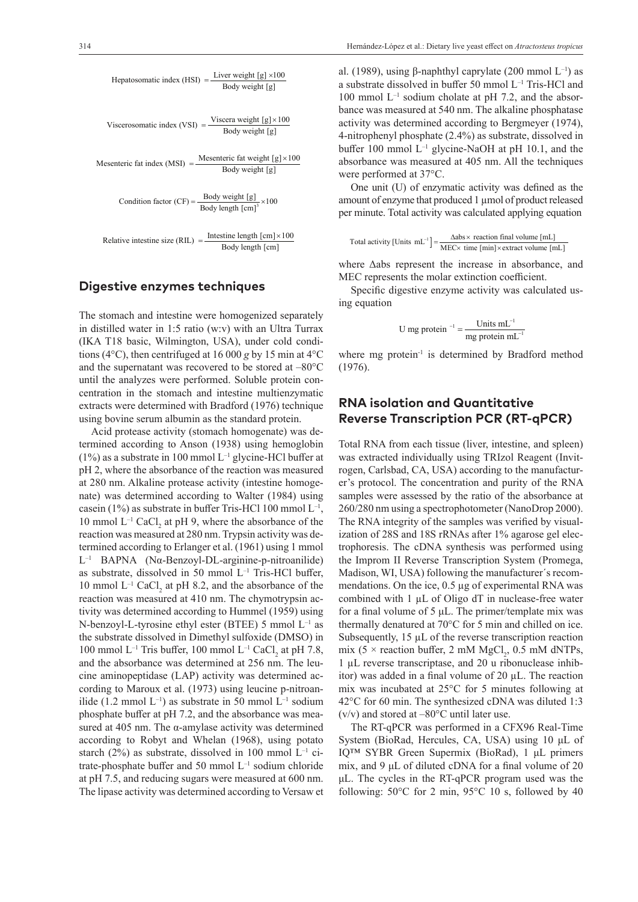| Hepatosomatic index (HSI) = $\frac{\text{Liver weight [g]} \times 100}{\text{Body weight [g]}}$             |
|-------------------------------------------------------------------------------------------------------------|
| Viscerosomatic index (VSI) = $\frac{\text{Viscera weight [g]}\times 100}{\text{Body weight [g]}}$           |
| Mesenteric fat index (MSI) = $\frac{\text{Mesenteric fat weight } [g] \times 100}{\text{Body weight } [g]}$ |
| Condition factor (CF) = $\frac{\text{Body weight [g]}{\text{Body length [cm]}^3} \times 100$                |
| Relative intestine size (RIL) = $\frac{\text{Intestine length [cm]}\times 100}{\text{Body length [cm]}}$    |

### **Digestive enzymes techniques**

The stomach and intestine were homogenized separately in distilled water in 1:5 ratio (w:v) with an Ultra Turrax (IKA T18 basic, Wilmington, USA), under cold conditions (4 $\rm ^{o}C$ ), then centrifuged at 16 000 *g* by 15 min at 4 $\rm ^{o}C$ and the supernatant was recovered to be stored at –80°C until the analyzes were performed. Soluble protein concentration in the stomach and intestine multienzymatic extracts were determined with Bradford (1976) technique using bovine serum albumin as the standard protein.

Acid protease activity (stomach homogenate) was determined according to Anson (1938) using hemoglobin  $(1%)$  as a substrate in 100 mmol L<sup>-1</sup> glycine-HCl buffer at pH 2, where the absorbance of the reaction was measured at 280 nm. Alkaline protease activity (intestine homogenate) was determined according to Walter (1984) using casein (1%) as substrate in buffer Tris-HCl 100 mmol  $L^{-1}$ , 10 mmol  $L^{-1}$  CaCl<sub>2</sub> at pH 9, where the absorbance of the reaction was measured at 280 nm. Trypsin activity was determined according to Erlanger et al. (1961) using 1 mmol L–1 BAPNA (Nα-Benzoyl-DL-arginine-p-nitroanilide) as substrate, dissolved in 50 mmol  $L^{-1}$  Tris-HCl buffer, 10 mmol  $L^{-1}$  CaCl<sub>2</sub> at pH 8.2, and the absorbance of the reaction was measured at 410 nm. The chymotrypsin activity was determined according to Hummel (1959) using N-benzoyl-L-tyrosine ethyl ester (BTEE) 5 mmol  $L^{-1}$  as the substrate dissolved in Dimethyl sulfoxide (DMSO) in 100 mmol  $L^{-1}$  Tris buffer, 100 mmol  $L^{-1}$  CaCl<sub>2</sub> at pH 7.8, and the absorbance was determined at 256 nm. The leucine aminopeptidase (LAP) activity was determined according to Maroux et al. (1973) using leucine p-nitroanilide (1.2 mmol  $L^{-1}$ ) as substrate in 50 mmol  $L^{-1}$  sodium phosphate buffer at pH 7.2, and the absorbance was measured at 405 nm. The α-amylase activity was determined according to Robyt and Whelan (1968), using potato starch (2%) as substrate, dissolved in 100 mmol  $L^{-1}$  citrate-phosphate buffer and 50 mmol  $L^{-1}$  sodium chloride at pH 7.5, and reducing sugars were measured at 600 nm. The lipase activity was determined according to Versaw et

al. (1989), using β-naphthyl caprylate (200 mmol  $L^{-1}$ ) as a substrate dissolved in buffer 50 mmol L–1 Tris-HCl and 100 mmol  $L^{-1}$  sodium cholate at pH 7.2, and the absorbance was measured at 540 nm. The alkaline phosphatase activity was determined according to Bergmeyer (1974), 4-nitrophenyl phosphate (2.4%) as substrate, dissolved in buffer 100 mmol  $L^{-1}$  glycine-NaOH at pH 10.1, and the absorbance was measured at 405 nm. All the techniques were performed at 37°C.

One unit (U) of enzymatic activity was defined as the amount of enzyme that produced 1 µmol of product released per minute. Total activity was calculated applying equation

$$
Total activity [Units mL^{-1}] = \frac{\Delta abs \times reaction final volume [mL]}{MEC \times time [min] \times extract volume [mL]}
$$

where Δabs represent the increase in absorbance, and MEC represents the molar extinction coefficient.

Specific digestive enzyme activity was calculated using equation

$$
U mg protein^{-1} = \frac{Units mL^{-1}}{mg protein mL^{-1}}
$$

where mg protein<sup>-1</sup> is determined by Bradford method (1976).

### **RNA isolation and Quantitative Reverse Transcription PCR (RT-qPCR)**

Total RNA from each tissue (liver, intestine, and spleen) was extracted individually using TRIzol Reagent (Invitrogen, Carlsbad, CA, USA) according to the manufacturer's protocol. The concentration and purity of the RNA samples were assessed by the ratio of the absorbance at 260/280 nm using a spectrophotometer (NanoDrop 2000). The RNA integrity of the samples was verified by visualization of 28S and 18S rRNAs after 1% agarose gel electrophoresis. The cDNA synthesis was performed using the Improm II Reverse Transcription System (Promega, Madison, WI, USA) following the manufacturer´s recommendations. On the ice,  $0.5 \mu$ g of experimental RNA was combined with 1 µL of Oligo dT in nuclease-free water for a final volume of 5 μL. The primer/template mix was thermally denatured at 70°C for 5 min and chilled on ice. Subsequently,  $15 \mu L$  of the reverse transcription reaction mix (5  $\times$  reaction buffer, 2 mM MgCl<sub>2</sub>, 0.5 mM dNTPs, 1 µL reverse transcriptase, and 20 u ribonuclease inhibitor) was added in a final volume of  $20 \mu L$ . The reaction mix was incubated at 25°C for 5 minutes following at 42°C for 60 min. The synthesized cDNA was diluted 1:3 (v/v) and stored at  $-80^{\circ}$ C until later use.

The RT-qPCR was performed in a CFX96 Real-Time System (BioRad, Hercules, CA, USA) using 10 μL of IQ™ SYBR Green Supermix (BioRad), 1 μL primers mix, and 9 μL of diluted cDNA for a final volume of 20 μL. The cycles in the RT-qPCR program used was the following:  $50^{\circ}$ C for 2 min,  $95^{\circ}$ C 10 s, followed by 40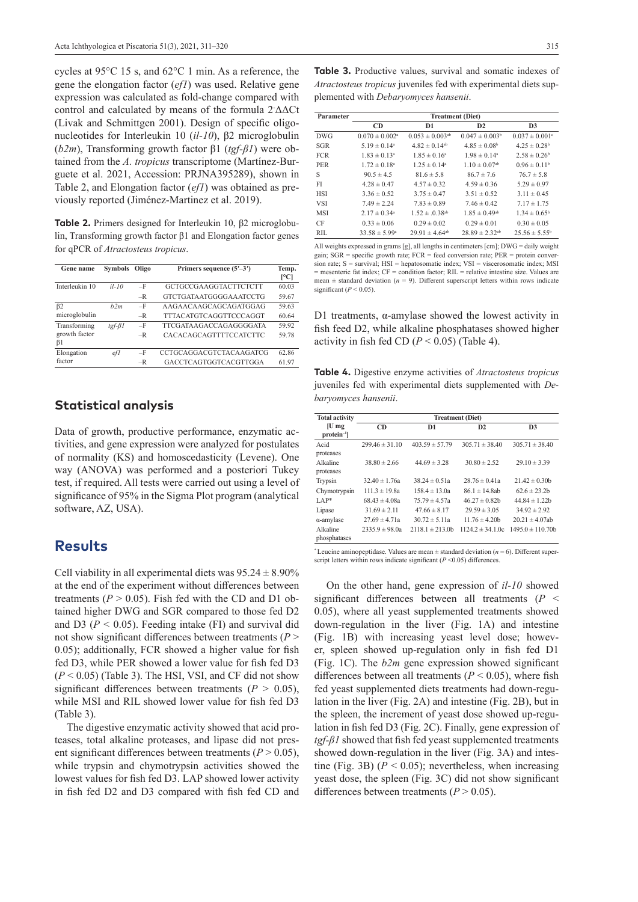cycles at 95°C 15 s, and 62°C 1 min. As a reference, the gene the elongation factor (*ef1*) was used. Relative gene expression was calculated as fold-change compared with control and calculated by means of the formula 2- ΔΔCt (Livak and Schmittgen 2001). Design of specific oligonucleotides for Interleukin 10 (*il-10*), β2 microglobulin (*b2m*), Transforming growth factor β1 (*tgf-β1*) were obtained from the *A. tropicus* transcriptome (Martínez-Burguete et al. 2021, Accession: PRJNA395289), shown in Table 2, and Elongation factor (*ef1*) was obtained as previously reported (Jiménez-Martinez et al. 2019).

**Table 2.** Primers designed for Interleukin 10, β2 microglobulin, Transforming growth factor β1 and Elongation factor genes for qPCR of *Atractosteus tropicus*.

| Gene name                  | Symbols           | Oligo | Primers sequence $(5'–3')$    | Temp.<br>ľСl |
|----------------------------|-------------------|-------|-------------------------------|--------------|
| Interleukin 10             | $il-10$           | $-F$  | GCTGCCGAAGGTACTTCTCTT         | 60.03        |
|                            |                   | $-R$  | GTCTGATAATGGGGAAATCCTG        | 59.67        |
| $\beta$ 2                  | h2m               | $-F$  | AAGAACAAGCAGCAGATGGAG         | 59.63        |
| microglobulin              |                   | $-R$  | TTTACATGTCAGGTTCCCAGGT        | 60.64        |
| Transforming               | $t$ gf- $\beta$ l | $-F$  | <b>TTCGATAAGACCAGAGGGGATA</b> | 59.92        |
| growth factor<br>$\beta$ 1 |                   | $-R$  | <b>CACACAGCAGTTTTCCATCTTC</b> | 59.78        |
| Elongation                 | efl               | $-F$  | CCTGCAGGACGTCTACAAGATCG       | 62.86        |
| factor                     |                   | $-R$  | GACCTCAGTGGTCACGTTGGA         | 61.97        |

### **Statistical analysis**

Data of growth, productive performance, enzymatic activities, and gene expression were analyzed for postulates of normality (KS) and homoscedasticity (Levene). One way (ANOVA) was performed and a posteriori Tukey test, if required. All tests were carried out using a level of significance of 95% in the Sigma Plot program (analytical software, AZ, USA).

### **Results**

Cell viability in all experimental diets was  $95.24 \pm 8.90\%$ at the end of the experiment without differences between treatments ( $P > 0.05$ ). Fish fed with the CD and D1 obtained higher DWG and SGR compared to those fed D2 and D3 (*P <* 0.05). Feeding intake (FI) and survival did not show significant differences between treatments (*P* > 0.05); additionally, FCR showed a higher value for fish fed D3, while PER showed a lower value for fish fed D3  $(P < 0.05)$  (Table 3). The HSI, VSI, and CF did not show significant differences between treatments  $(P > 0.05)$ , while MSI and RIL showed lower value for fish fed D3 (Table 3).

The digestive enzymatic activity showed that acid proteases, total alkaline proteases, and lipase did not present significant differences between treatments  $(P > 0.05)$ , while trypsin and chymotrypsin activities showed the lowest values for fish fed D3. LAP showed lower activity in fish fed D2 and D3 compared with fish fed CD and

| Parameter  | <b>Treatment</b> (Diet)        |                                 |                               |                                |  |
|------------|--------------------------------|---------------------------------|-------------------------------|--------------------------------|--|
|            | <b>CD</b>                      | D1                              | D2                            | D <sub>3</sub>                 |  |
| <b>DWG</b> | $0.070 \pm 0.002$ <sup>a</sup> | $0.053 \pm 0.003$ <sup>ab</sup> | $0.047 \pm 0.003^b$           | $0.037 \pm 0.001$ <sup>c</sup> |  |
| SGR        | $5.19 \pm 0.14^a$              | $4.82 \pm 0.14$ <sup>ab</sup>   | $4.85 \pm 0.08^{\rm b}$       | $4.25 \pm 0.28$ <sup>b</sup>   |  |
| <b>FCR</b> | $1.83 \pm 0.13^a$              | $1.85 \pm 0.16^a$               | $1.98 \pm 0.14^a$             | $2.58 \pm 0.26^b$              |  |
| PER        | $1.72 \pm 0.18^a$              | $1.25 \pm 0.14^{\circ}$         | $1.10 \pm 0.07$ <sup>ab</sup> | $0.96 \pm 0.11^b$              |  |
| S          | $90.5 \pm 4.5$                 | $81.6 \pm 5.8$                  | $86.7 \pm 7.6$                | $76.7 \pm 5.8$                 |  |
| FI         | $4.28 \pm 0.47$                | $4.57 \pm 0.32$                 | $4.59 \pm 0.36$               | $5.29 \pm 0.97$                |  |
| <b>HSI</b> | $3.36 \pm 0.52$                | $3.75 \pm 0.47$                 | $3.51 \pm 0.52$               | $3.11 \pm 0.45$                |  |
| <b>VSI</b> | $7.49 \pm 2.24$                | $7.83 \pm 0.89$                 | $7.46 \pm 0.42$               | $7.17 \pm 1.75$                |  |
| <b>MSI</b> | $2.17 \pm 0.34^a$              | $1.52 \pm .0.38^{ab}$           | $1.85 \pm 0.49$ <sup>ab</sup> | $1.34 \pm 0.65^{\rm b}$        |  |
| CF         | $0.33 \pm 0.06$                | $0.29 \pm 0.02$                 | $0.29 \pm 0.01$               | $0.30 \pm 0.05$                |  |
| RII.       | $33.58 \pm 5.99^{\circ}$       | $29.91 \pm 4.64^{ab}$           | $28.89 \pm 2.32^{ab}$         | $25.56 \pm 5.55^{\circ}$       |  |

All weights expressed in grams [g], all lengths in centimeters [cm]; DWG = daily weight gain; SGR = specific growth rate; FCR = feed conversion rate; PER = protein conversion rate; S = survival; HSI = hepatosomatic index; VSI = viscerosomatic index; MSI = mesenteric fat index; CF = condition factor; RIL = relative intestine size. Values are mean  $\pm$  standard deviation ( $n = 9$ ). Different superscript letters within rows indicate significant  $(P < 0.05)$ .

D1 treatments,  $\alpha$ -amylase showed the lowest activity in fish feed D2, while alkaline phosphatases showed higher activity in fish fed CD  $(P < 0.05)$  (Table 4).

**Table 4.** Digestive enzyme activities of *Atractosteus tropicus* iuveniles fed with experimental diets supplemented with *Debaryomyces hansenii*.

| <b>Total activity</b> | <b>Treatment</b> (Diet) |                    |                      |                       |  |  |
|-----------------------|-------------------------|--------------------|----------------------|-----------------------|--|--|
| $ U $ mg              | CD                      | D1                 |                      | D <sub>3</sub>        |  |  |
| $protein-1$           |                         |                    |                      |                       |  |  |
| Acid                  | $299.46 \pm 31.10$      | $403.59 \pm 57.79$ | $305.71 \pm 38.40$   | $305.71 \pm 38.40$    |  |  |
| proteases             |                         |                    |                      |                       |  |  |
| Alkaline              | $38.80 \pm 2.66$        | $44.69 \pm 3.28$   | $30.80 \pm 2.52$     | $29.10 \pm 3.39$      |  |  |
| proteases             |                         |                    |                      |                       |  |  |
| Trypsin               | $32.40 \pm 1.76a$       | $38.24 \pm 0.51a$  | $28.76 \pm 0.41a$    | $21.42 \pm 0.30$      |  |  |
| Chymotrypsin          | $111.3 \pm 19.8a$       | $158.4 \pm 13.0a$  | $86.1 \pm 14.8$ ab   | $62.6 \pm 23.2$       |  |  |
| $LAP*$                | $68.43 \pm 4.08a$       | $75.79 \pm 4.57a$  | $46.27 \pm 0.82$     | $44.84 \pm 1.22$      |  |  |
| Lipase                | $31.69 \pm 2.11$        | $47.66 \pm 8.17$   | $29.59 \pm 3.05$     | $34.92 \pm 2.92$      |  |  |
| $\alpha$ -amylase     | $27.69 \pm 4.71a$       | $30.72 \pm 5.11a$  | $11.76 \pm 4.20$     | $20.21 \pm 4.07$ ab   |  |  |
| Alkaline              | $2335.9 \pm 98.0a$      | $2118.1 \pm 213.0$ | $1124.2 \pm 34.1.0c$ | $1495.0 \pm 110.70$ b |  |  |
| phosphatases          |                         |                    |                      |                       |  |  |

<sup>\*</sup> Leucine aminopeptidase. Values are mean  $\pm$  standard deviation ( $n = 6$ ). Different superscript letters within rows indicate significant  $(P \le 0.05)$  differences.

On the other hand, gene expression of *il-10* showed significant differences between all treatments (*P* < 0.05), where all yeast supplemented treatments showed down-regulation in the liver (Fig. 1A) and intestine (Fig. 1B) with increasing yeast level dose; however, spleen showed up-regulation only in fish fed D1 (Fig. 1C). The *b2m* gene expression showed significant differences between all treatments ( $P < 0.05$ ), where fish fed yeast supplemented diets treatments had down-regulation in the liver (Fig. 2A) and intestine (Fig. 2B), but in the spleen, the increment of yeast dose showed up-regulation in fish fed D3 (Fig. 2C). Finally, gene expression of *tgf-β1* showed that fish fed yeast supplemented treatments showed down-regulation in the liver (Fig. 3A) and intestine (Fig. 3B)  $(P < 0.05)$ ; nevertheless, when increasing yeast dose, the spleen (Fig. 3C) did not show significant differences between treatments  $(P > 0.05)$ .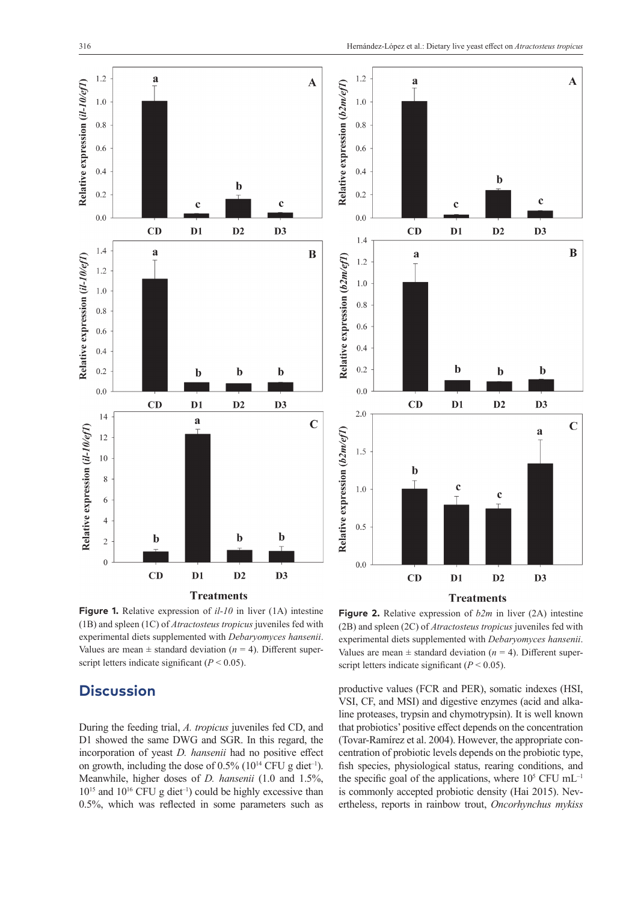$\overline{\mathbf{A}}$ 

 $\bf{B}$ 

 $\mathbf C$ 

 $\mathbf c$ 

 $D<sub>3</sub>$ 

 $\mathbf b$ 

D<sub>3</sub>

a

 $D3$ 



**Figure 1.** Relative expression of *il-10* in liver (1A) intestine (1B) and spleen (1C) of *Atractosteus tropicus* juveniles fed with experimental diets supplemented with *Debaryomyces hansenii*. Values are mean  $\pm$  standard deviation ( $n = 4$ ). Different superscript letters indicate significant  $(P < 0.05)$ .

# **Discussion**

During the feeding trial, *A. tropicus* juveniles fed CD, and D1 showed the same DWG and SGR. In this regard, the incorporation of yeast *D. hansenii* had no positive effect on growth, including the dose of  $0.5\%$  (10<sup>14</sup> CFU g diet<sup>-1</sup>). Meanwhile, higher doses of *D. hansenii* (1.0 and 1.5%,  $10^{15}$  and  $10^{16}$  CFU g diet<sup>-1</sup>) could be highly excessive than 0.5%, which was reflected in some parameters such as

**Figure 2.** Relative expression of *b2m* in liver (2A) intestine (2B) and spleen (2C) of *Atractosteus tropicus* juveniles fed with experimental diets supplemented with *Debaryomyces hansenii*. Values are mean  $\pm$  standard deviation ( $n = 4$ ). Different superscript letters indicate significant  $(P < 0.05)$ .

productive values (FCR and PER), somatic indexes (HSI, VSI, CF, and MSI) and digestive enzymes (acid and alkaline proteases, trypsin and chymotrypsin). It is well known that probiotics' positive effect depends on the concentration (Tovar-Ramírez et al. 2004). However, the appropriate concentration of probiotic levels depends on the probiotic type, fish species, physiological status, rearing conditions, and the specific goal of the applications, where  $10^5$  CFU mL<sup>-1</sup> is commonly accepted probiotic density (Hai 2015). Nevertheless, reports in rainbow trout, *Oncorhynchus mykiss*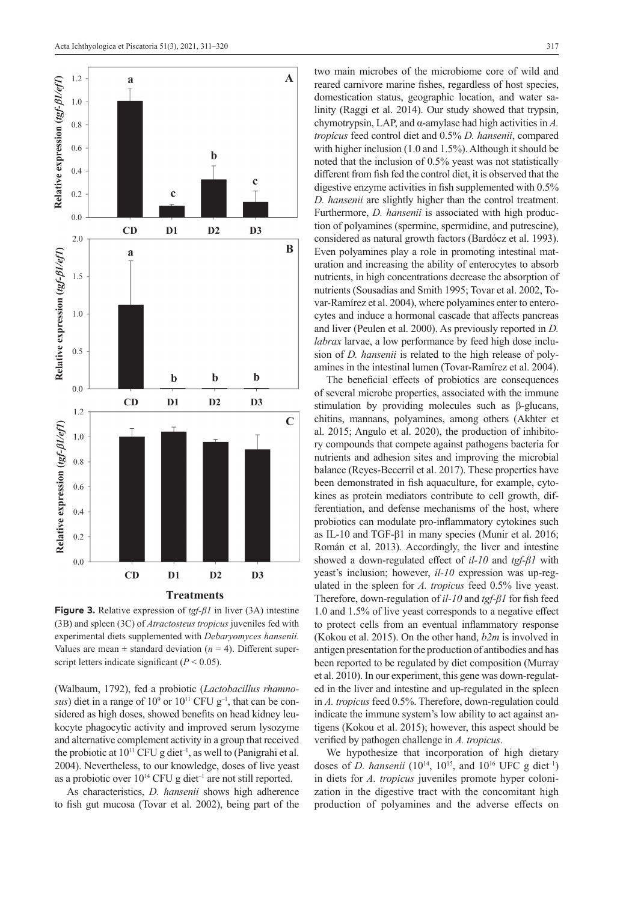



**Figure 3.** Relative expression of *tgf-β1* in liver (3A) intestine (3B) and spleen (3C) of *Atractosteus tropicus* juveniles fed with experimental diets supplemented with *Debaryomyces hansenii*. Values are mean  $\pm$  standard deviation ( $n = 4$ ). Different superscript letters indicate significant  $(P < 0.05)$ .

(Walbaum, 1792), fed a probiotic (*Lactobacillus rhamnosus*) diet in a range of  $10^9$  or  $10^{11}$  CFU  $g^{-1}$ , that can be considered as high doses, showed benefits on head kidney leukocyte phagocytic activity and improved serum lysozyme and alternative complement activity in a group that received the probiotic at  $10^{11}$  CFU g diet<sup>-1</sup>, as well to (Panigrahi et al. 2004). Nevertheless, to our knowledge, doses of live yeast as a probiotic over  $10^{14}$  CFU g diet<sup>-1</sup> are not still reported.

As characteristics, *D. hansenii* shows high adherence to fish gut mucosa (Tovar et al. 2002), being part of the

two main microbes of the microbiome core of wild and reared carnivore marine fishes, regardless of host species, domestication status, geographic location, and water salinity (Raggi et al. 2014). Our study showed that trypsin, chymotrypsin, LAP, and α-amylase had high activities in *A. tropicus* feed control diet and 0.5% *D. hansenii*, compared with higher inclusion (1.0 and 1.5%). Although it should be noted that the inclusion of 0.5% yeast was not statistically different from fish fed the control diet, it is observed that the digestive enzyme activities in fish supplemented with 0.5% *D. hansenii* are slightly higher than the control treatment. Furthermore, *D. hansenii* is associated with high production of polyamines (spermine, spermidine, and putrescine), considered as natural growth factors (Bardócz et al. 1993). Even polyamines play a role in promoting intestinal maturation and increasing the ability of enterocytes to absorb nutrients, in high concentrations decrease the absorption of nutrients (Sousadias and Smith 1995; Tovar et al. 2002, Tovar-Ramírez et al. 2004), where polyamines enter to enterocytes and induce a hormonal cascade that affects pancreas and liver (Peulen et al. 2000). As previously reported in *D. labrax* larvae, a low performance by feed high dose inclusion of *D. hansenii* is related to the high release of polyamines in the intestinal lumen (Tovar-Ramírez et al. 2004).

The beneficial effects of probiotics are consequences of several microbe properties, associated with the immune stimulation by providing molecules such as β-glucans, chitins, mannans, polyamines, among others (Akhter et al. 2015; Angulo et al. 2020), the production of inhibitory compounds that compete against pathogens bacteria for nutrients and adhesion sites and improving the microbial balance (Reyes-Becerril et al. 2017). These properties have been demonstrated in fish aquaculture, for example, cytokines as protein mediators contribute to cell growth, differentiation, and defense mechanisms of the host, where probiotics can modulate pro-inflammatory cytokines such as IL-10 and TGF-β1 in many species (Munir et al. 2016; Román et al. 2013). Accordingly, the liver and intestine showed a down-regulated effect of *il-10* and *tgf-β1* with yeast's inclusion; however, *il-10* expression was up-regulated in the spleen for *A. tropicus* feed 0.5% live yeast. Therefore, down-regulation of *il-10* and *tgf-β1* for fish feed 1.0 and 1.5% of live yeast corresponds to a negative effect to protect cells from an eventual inflammatory response (Kokou et al. 2015). On the other hand, *b2m* is involved in antigen presentation for the production of antibodies and has been reported to be regulated by diet composition (Murray et al. 2010). In our experiment, this gene was down-regulated in the liver and intestine and up-regulated in the spleen in *A. tropicus* feed 0.5%. Therefore, down-regulation could indicate the immune system's low ability to act against antigens (Kokou et al. 2015); however, this aspect should be verified by pathogen challenge in *A. tropicus*.

We hypothesize that incorporation of high dietary doses of *D. hansenii* ( $10^{14}$ ,  $10^{15}$ , and  $10^{16}$  UFC g diet<sup>-1</sup>) in diets for *A. tropicus* juveniles promote hyper colonization in the digestive tract with the concomitant high production of polyamines and the adverse effects on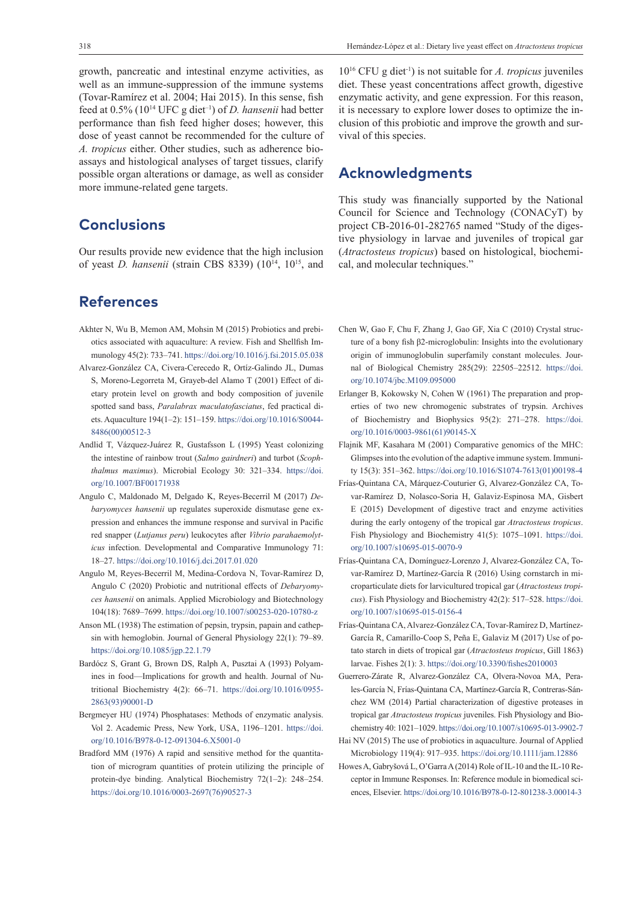growth, pancreatic and intestinal enzyme activities, as well as an immune-suppression of the immune systems (Tovar-Ramírez et al. 2004; Hai 2015). In this sense, fish feed at 0.5% (1014 UFC g diet–1) of *D. hansenii* had better performance than fish feed higher doses; however, this dose of yeast cannot be recommended for the culture of *A. tropicus* either. Other studies, such as adherence bioassays and histological analyses of target tissues, clarify possible organ alterations or damage, as well as consider more immune-related gene targets.

# **Conclusions**

Our results provide new evidence that the high inclusion of yeast *D. hansenii* (strain CBS 8339) (1014, 1015, and

# **References**

- Akhter N, Wu B, Memon AM, Mohsin M (2015) Probiotics and prebiotics associated with aquaculture: A review. Fish and Shellfish Immunology 45(2): 733–741.<https://doi.org/10.1016/j.fsi.2015.05.038>
- Alvarez-González CA, Civera-Cerecedo R, Ortíz-Galindo JL, Dumas S, Moreno-Legorreta M, Grayeb-del Alamo T (2001) Effect of dietary protein level on growth and body composition of juvenile spotted sand bass, *Paralabrax maculatofasciatus*, fed practical diets. Aquaculture 194(1–2): 151–159. [https://doi.org/10.1016/S0044-](https://doi.org/10.1016/S0044-8486(00)00512-3) [8486\(00\)00512-3](https://doi.org/10.1016/S0044-8486(00)00512-3)
- Andlid T, Vázquez-Juárez R, Gustafsson L (1995) Yeast colonizing the intestine of rainbow trout (*Salmo gairdneri*) and turbot (*Scophthalmus maximus*). Microbial Ecology 30: 321–334. [https://doi.](https://doi.org/10.1007/BF00171938) [org/10.1007/BF00171938](https://doi.org/10.1007/BF00171938)
- Angulo C, Maldonado M, Delgado K, Reyes-Becerril M (2017) *Debaryomyces hansenii* up regulates superoxide dismutase gene expression and enhances the immune response and survival in Pacific red snapper (*Lutjanus peru*) leukocytes after *Vibrio parahaemolyticus* infection. Developmental and Comparative Immunology 71: 18–27.<https://doi.org/10.1016/j.dci.2017.01.020>
- Angulo M, Reyes-Becerril M, Medina-Cordova N, Tovar-Ramírez D, Angulo C (2020) Probiotic and nutritional effects of *Debaryomyces hansenii* on animals. Applied Microbiology and Biotechnology 104(18): 7689–7699. <https://doi.org/10.1007/s00253-020-10780-z>
- Anson ML (1938) The estimation of pepsin, trypsin, papain and cathepsin with hemoglobin. Journal of General Physiology 22(1): 79–89. <https://doi.org/10.1085/jgp.22.1.79>
- Bardócz S, Grant G, Brown DS, Ralph A, Pusztai A (1993) Polyamines in food—Implications for growth and health. Journal of Nutritional Biochemistry 4(2): 66–71. [https://doi.org/10.1016/0955-](https://doi.org/10.1016/0955-2863(93)90001-D) [2863\(93\)90001-D](https://doi.org/10.1016/0955-2863(93)90001-D)
- Bergmeyer HU (1974) Phosphatases: Methods of enzymatic analysis. Vol 2. Academic Press, New York, USA, 1196–1201. [https://doi.](https://doi.org/10.1016/B978-0-12-091304-6.X5001-0) [org/10.1016/B978-0-12-091304-6.X5001-0](https://doi.org/10.1016/B978-0-12-091304-6.X5001-0)
- Bradford MM (1976) A rapid and sensitive method for the quantitation of microgram quantities of protein utilizing the principle of protein-dye binding. Analytical Biochemistry 72(1–2): 248–254. [https://doi.org/10.1016/0003-2697\(76\)90527-3](https://doi.org/10.1016/0003-2697(76)90527-3)

1016 CFU g diet-1) is not suitable for *A. tropicus* juveniles diet. These yeast concentrations affect growth, digestive enzymatic activity, and gene expression. For this reason, it is necessary to explore lower doses to optimize the inclusion of this probiotic and improve the growth and survival of this species.

# **Acknowledgments**

This study was financially supported by the National Council for Science and Technology (CONACyT) by project CB-2016-01-282765 named "Study of the digestive physiology in larvae and juveniles of tropical gar (*Atractosteus tropicus*) based on histological, biochemical, and molecular techniques."

- Chen W, Gao F, Chu F, Zhang J, Gao GF, Xia C (2010) Crystal structure of a bony fish β2-microglobulin: Insights into the evolutionary origin of immunoglobulin superfamily constant molecules. Journal of Biological Chemistry 285(29): 22505–22512. [https://doi.](https://doi.org/10.1074/jbc.M109.095000) [org/10.1074/jbc.M109.095000](https://doi.org/10.1074/jbc.M109.095000)
- Erlanger B, Kokowsky N, Cohen W (1961) The preparation and properties of two new chromogenic substrates of trypsin. Archives of Biochemistry and Biophysics 95(2): 271–278. [https://doi.](https://doi.org/10.1016/0003-9861(61)90145-X) [org/10.1016/0003-9861\(61\)90145-X](https://doi.org/10.1016/0003-9861(61)90145-X)
- Flajnik MF, Kasahara M (2001) Comparative genomics of the MHC: Glimpses into the evolution of the adaptive immune system. Immunity 15(3): 351–362. [https://doi.org/10.1016/S1074-7613\(01\)00198-4](https://doi.org/10.1016/S1074-7613(01)00198-4)
- Frías-Quintana CA, Márquez-Couturier G, Alvarez-González CA, Tovar-Ramírez D, Nolasco-Soria H, Galaviz-Espinosa MA, Gisbert E (2015) Development of digestive tract and enzyme activities during the early ontogeny of the tropical gar *Atractosteus tropicus*. Fish Physiology and Biochemistry 41(5): 1075–1091. [https://doi.](https://doi.org/10.1007/s10695-015-0070-9) [org/10.1007/s10695-015-0070-9](https://doi.org/10.1007/s10695-015-0070-9)
- Frías-Quintana CA, Domínguez-Lorenzo J, Alvarez-González CA, Tovar-Ramírez D, Martínez-García R (2016) Using cornstarch in microparticulate diets for larvicultured tropical gar (*Atractosteus tropicus*). Fish Physiology and Biochemistry 42(2): 517–528. [https://doi.](https://doi.org/10.1007/s10695-015-0156-4) [org/10.1007/s10695-015-0156-4](https://doi.org/10.1007/s10695-015-0156-4)
- Frías-Quintana CA, Alvarez-González CA, Tovar-Ramírez D, Martínez-García R, Camarillo-Coop S, Peña E, Galaviz M (2017) Use of potato starch in diets of tropical gar (*Atractosteus tropicus*, Gill 1863) larvae. Fishes 2(1): 3. <https://doi.org/10.3390/fishes2010003>
- Guerrero-Zárate R, Alvarez-González CA, Olvera-Novoa MA, Perales-García N, Frías-Quintana CA, Martínez-García R, Contreras-Sánchez WM (2014) Partial characterization of digestive proteases in tropical gar *Atractosteus tropicus* juveniles. Fish Physiology and Biochemistry 40: 1021–1029.<https://doi.org/10.1007/s10695-013-9902-7>
- Hai NV (2015) The use of probiotics in aquaculture. Journal of Applied Microbiology 119(4): 917–935. <https://doi.org/10.1111/jam.12886>
- Howes A, Gabryšová L, O'Garra A (2014) Role of IL-10 and the IL-10 Receptor in Immune Responses. In: Reference module in biomedical sciences, Elsevier.<https://doi.org/10.1016/B978-0-12-801238-3.00014-3>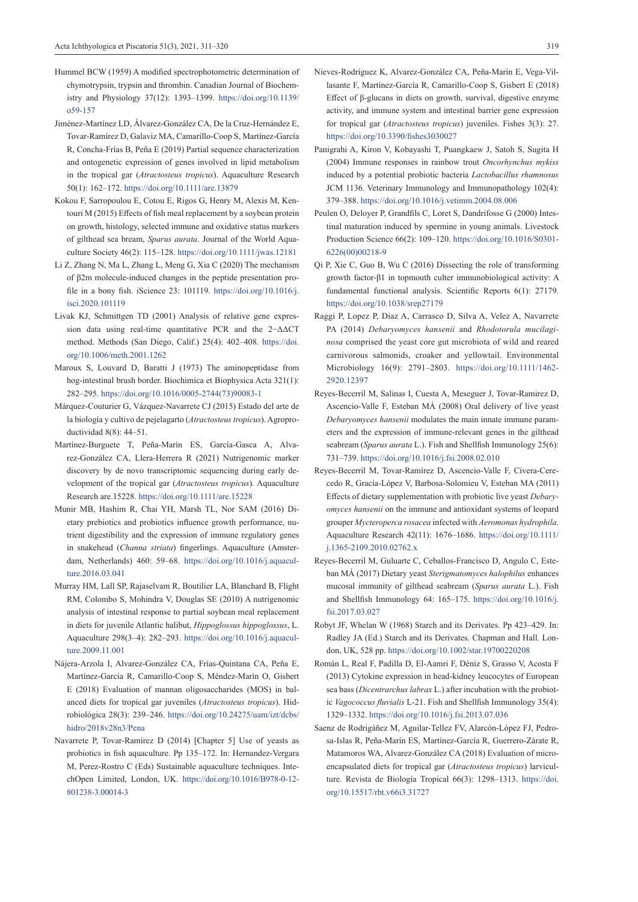- Hummel BCW (1959) A modified spectrophotometric determination of chymotrypsin, trypsin and thrombin. Canadian Journal of Biochemistry and Physiology 37(12): 1393–1399. [https://doi.org/10.1139/](https://doi.org/10.1139/o59-157) [o59-157](https://doi.org/10.1139/o59-157)
- Jiménez-Martínez LD, Álvarez-González CA, De la Cruz-Hernández E, Tovar-Ramírez D, Galaviz MA, Camarillo-Coop S, Martínez-García R, Concha-Frías B, Peña E (2019) Partial sequence characterization and ontogenetic expression of genes involved in lipid metabolism in the tropical gar (*Atractosteus tropicus*). Aquaculture Research 50(1): 162–172. <https://doi.org/10.1111/are.13879>
- Kokou F, Sarropoulou E, Cotou E, Rigos G, Henry M, Alexis M, Kentouri M (2015) Effects of fish meal replacement by a soybean protein on growth, histology, selected immune and oxidative status markers of gilthead sea bream, *Sparus aurata*. Journal of the World Aquaculture Society 46(2): 115–128. <https://doi.org/10.1111/jwas.12181>
- Li Z, Zhang N, Ma L, Zhang L, Meng G, Xia C (2020) The mechanism of β2m molecule-induced changes in the peptide presentation profile in a bony fish. iScience 23: 101119. [https://doi.org/10.1016/j.](https://doi.org/10.1016/j.isci.2020.101119) [isci.2020.101119](https://doi.org/10.1016/j.isci.2020.101119)
- Livak KJ, Schmittgen TD (2001) Analysis of relative gene expression data using real-time quantitative PCR and the 2−ΔΔCT method. Methods (San Diego, Calif.) 25(4): 402–408. [https://doi.](https://doi.org/10.1006/meth.2001.1262) [org/10.1006/meth.2001.1262](https://doi.org/10.1006/meth.2001.1262)
- Maroux S, Louvard D, Baratti J (1973) The aminopeptidase from hog-intestinal brush border. Biochimica et Biophysica Acta 321(1): 282–295. [https://doi.org/10.1016/0005-2744\(73\)90083-1](https://doi.org/10.1016/0005-2744(73)90083-1)
- Márquez-Couturier G, Vázquez-Navarrete CJ (2015) Estado del arte de la biología y cultivo de pejelagarto (*Atractosteus tropicus*). Agroproductividad 8(8): 44–51.
- Martínez-Burguete T, Peña-Marín ES, García-Gasca A, Alvarez-González CA, Llera-Herrera R (2021) Nutrigenomic marker discovery by de novo transcriptomic sequencing during early development of the tropical gar (*Atractosteus tropicus*). Aquaculture Research are.15228.<https://doi.org/10.1111/are.15228>
- Munir MB, Hashim R, Chai YH, Marsh TL, Nor SAM (2016) Dietary prebiotics and probiotics influence growth performance, nutrient digestibility and the expression of immune regulatory genes in snakehead (*Channa striata*) fingerlings. Aquaculture (Amsterdam, Netherlands) 460: 59–68. [https://doi.org/10.1016/j.aquacul](https://doi.org/10.1016/j.aquaculture.2016.03.041)[ture.2016.03.041](https://doi.org/10.1016/j.aquaculture.2016.03.041)
- Murray HM, Lall SP, Rajaselvam R, Boutilier LA, Blanchard B, Flight RM, Colombo S, Mohindra V, Douglas SE (2010) A nutrigenomic analysis of intestinal response to partial soybean meal replacement in diets for juvenile Atlantic halibut, *Hippoglossus hippoglossus*, L. Aquaculture 298(3–4): 282–293. [https://doi.org/10.1016/j.aquacul](https://doi.org/10.1016/j.aquaculture.2009.11.001)[ture.2009.11.001](https://doi.org/10.1016/j.aquaculture.2009.11.001)
- Nájera-Arzola I, Alvarez-González CA, Frías-Quintana CA, Peña E, Martínez-García R, Camarillo-Coop S, Méndez-Marín O, Gisbert E (2018) Evaluation of mannan oligosaccharides (MOS) in balanced diets for tropical gar juveniles (*Atractosteus tropicus*). Hidrobiológica 28(3): 239–246. [https://doi.org/10.24275/uam/izt/dcbs/](https://doi.org/10.24275/uam/izt/dcbs/hidro/2018v28n3/Pena) [hidro/2018v28n3/Pena](https://doi.org/10.24275/uam/izt/dcbs/hidro/2018v28n3/Pena)
- Navarrete P, Tovar-Ramírez D (2014) [Chapter 5] Use of yeasts as probiotics in fish aquaculture. Pp 135–172. In: Hernandez-Vergara M, Perez-Rostro C (Eds) Sustainable aquaculture techniques. IntechOpen Limited, London, UK. [https://doi.org/10.1016/B978-0-12-](https://doi.org/10.1016/B978-0-12-801238-3.00014-3) [801238-3.00014-3](https://doi.org/10.1016/B978-0-12-801238-3.00014-3)
- 
- Nieves-Rodríguez K, Alvarez-González CA, Peña-Marín E, Vega-Villasante F, Martínez-García R, Camarillo-Coop S, Gisbert E (2018) Effect of β-glucans in diets on growth, survival, digestive enzyme activity, and immune system and intestinal barrier gene expression for tropical gar (*Atractosteus tropicus*) juveniles. Fishes 3(3): 27. <https://doi.org/10.3390/fishes3030027>
- Panigrahi A, Kiron V, Kobayashi T, Puangkaew J, Satoh S, Sugita H (2004) Immune responses in rainbow trout *Oncorhynchus mykiss* induced by a potential probiotic bacteria *Lactobacillus rhamnosus* JCM 1136. Veterinary Immunology and Immunopathology 102(4): 379–388. <https://doi.org/10.1016/j.vetimm.2004.08.006>
- Peulen O, Deloyer P, Grandfils C, Loret S, Dandrifosse G (2000) Intestinal maturation induced by spermine in young animals. Livestock Production Science 66(2): 109–120. [https://doi.org/10.1016/S0301-](https://doi.org/10.1016/S0301-6226(00)00218-9) [6226\(00\)00218-9](https://doi.org/10.1016/S0301-6226(00)00218-9)
- Qi P, Xie C, Guo B, Wu C (2016) Dissecting the role of transforming growth factor-β1 in topmouth culter immunobiological activity: A fundamental functional analysis. Scientific Reports 6(1): 27179. <https://doi.org/10.1038/srep27179>
- Raggi P, Lopez P, Diaz A, Carrasco D, Silva A, Velez A, Navarrete PA (2014) *Debaryomyces hansenii* and *Rhodotorula mucilaginosa* comprised the yeast core gut microbiota of wild and reared carnivorous salmonids, croaker and yellowtail. Environmental Microbiology 16(9): 2791–2803. [https://doi.org/10.1111/1462-](https://doi.org/10.1111/1462-2920.12397) [2920.12397](https://doi.org/10.1111/1462-2920.12397)
- Reyes-Becerril M, Salinas I, Cuesta A, Meseguer J, Tovar-Ramirez D, Ascencio-Valle F, Esteban MÁ (2008) Oral delivery of live yeast *Debaryomyces hansenii* modulates the main innate immune parameters and the expression of immune-relevant genes in the gilthead seabream (*Sparus aurata* L.). Fish and Shellfish Immunology 25(6): 731–739. <https://doi.org/10.1016/j.fsi.2008.02.010>
- Reyes-Becerril M, Tovar-Ramírez D, Ascencio-Valle F, Civera-Cerecedo R, Gracía-López V, Barbosa-Solomieu V, Esteban MA (2011) Effects of dietary supplementation with probiotic live yeast *Debaryomyces hansenii* on the immune and antioxidant systems of leopard grouper *Mycteroperca rosacea* infected with *Aeromonas hydrophila*. Aquaculture Research 42(11): 1676–1686. [https://doi.org/10.1111/](https://doi.org/10.1111/j.1365-2109.2010.02762.x) [j.1365-2109.2010.02762.x](https://doi.org/10.1111/j.1365-2109.2010.02762.x)
- Reyes-Becerril M, Guluarte C, Ceballos-Francisco D, Angulo C, Esteban MÁ (2017) Dietary yeast *Sterigmatomyces halophilus* enhances mucosal immunity of gilthead seabream (*Sparus aurata* L.). Fish and Shellfish Immunology 64: 165–175. [https://doi.org/10.1016/j.](https://doi.org/10.1016/j.fsi.2017.03.027) [fsi.2017.03.027](https://doi.org/10.1016/j.fsi.2017.03.027)
- Robyt JF, Whelan W (1968) Starch and its Derivates. Pp 423–429. In: Radley JA (Ed.) Starch and its Derivates. Chapman and Hall. London, UK, 528 pp.<https://doi.org/10.1002/star.19700220208>
- Román L, Real F, Padilla D, El-Aamri F, Déniz S, Grasso V, Acosta F (2013) Cytokine expression in head-kidney leucocytes of European sea bass (*Dicentrarchus labrax* L.) after incubation with the probiotic *Vagococcus fluvialis* L-21. Fish and Shellfish Immunology 35(4): 1329–1332. <https://doi.org/10.1016/j.fsi.2013.07.036>
- Saenz de Rodrigáñez M, Aguilar-Tellez FV, Alarcón-López FJ, Pedrosa-Islas R, Peña-Marín ES, Martínez-García R, Guerrero-Zárate R, Matamoros WA, Alvarez-González CA (2018) Evaluation of microencapsulated diets for tropical gar (*Atractosteus tropicus*) larviculture. Revista de Biología Tropical 66(3): 1298–1313. [https://doi.](https://doi.org/10.15517/rbt.v66i3.31727) [org/10.15517/rbt.v66i3.31727](https://doi.org/10.15517/rbt.v66i3.31727)